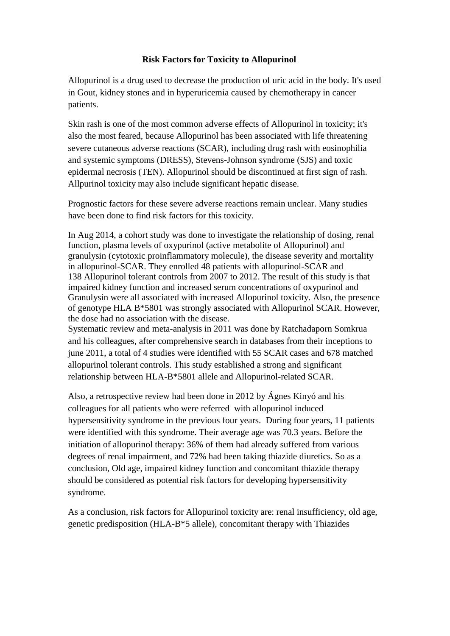## **Risk Factors for Toxicity to Allopurinol**

Allopurinol is a drug used to decrease the production of uric acid in the body. It's used in Gout, kidney stones and in hyperuricemia caused by chemotherapy in cancer patients.

Skin rash is one of the most common adverse effects of Allopurinol in toxicity; it's also the most feared, because Allopurinol has been associated with life threatening severe cutaneous adverse reactions (SCAR), including drug rash with eosinophilia and systemic symptoms (DRESS), Stevens-Johnson syndrome (SJS) and toxic epidermal necrosis (TEN). Allopurinol should be discontinued at first sign of rash. Allpurinol toxicity may also include significant hepatic disease.

Prognostic factors for these severe adverse reactions remain unclear. Many studies have been done to find risk factors for this toxicity.

In Aug 2014, a cohort study was done to investigate the relationship of dosing, renal function, plasma levels of oxypurinol (active metabolite of Allopurinol) and granulysin (cytotoxic proinflammatory molecule), the disease severity and mortality in allopurinol-SCAR. They enrolled 48 patients with allopurinol-SCAR and 138 Allopurinol tolerant controls from 2007 to 2012. The result of this study is that impaired kidney function and increased serum concentrations of oxypurinol and Granulysin were all associated with increased Allopurinol toxicity. Also, the presence of genotype HLA B\*5801 was strongly associated with Allopurinol SCAR. However, the dose had no association with the disease.

Systematic review and meta-analysis in 2011 was done by Ratchadaporn Somkrua and his colleagues, after comprehensive search in databases from their inceptions to june 2011, a total of 4 studies were identified with 55 SCAR cases and 678 matched allopurinol tolerant controls. This study established a strong and significant relationship between HLA-B\*5801 allele and Allopurinol-related SCAR.

Also, a retrospective review had been done in 2012 by Ágnes Kinyó and his colleagues for all patients who were referred with allopurinol induced hypersensitivity syndrome in the previous four years. During four years, 11 patients were identified with this syndrome. Their average age was 70.3 years. Before the initiation of allopurinol therapy: 36% of them had already suffered from various degrees of renal impairment, and 72% had been taking thiazide diuretics. So as a conclusion, Old age, impaired kidney function and concomitant thiazide therapy should be considered as potential risk factors for developing hypersensitivity syndrome.

As a conclusion, risk factors for Allopurinol toxicity are: renal insufficiency, old age, genetic predisposition (HLA-B\*5 allele), concomitant therapy with Thiazides